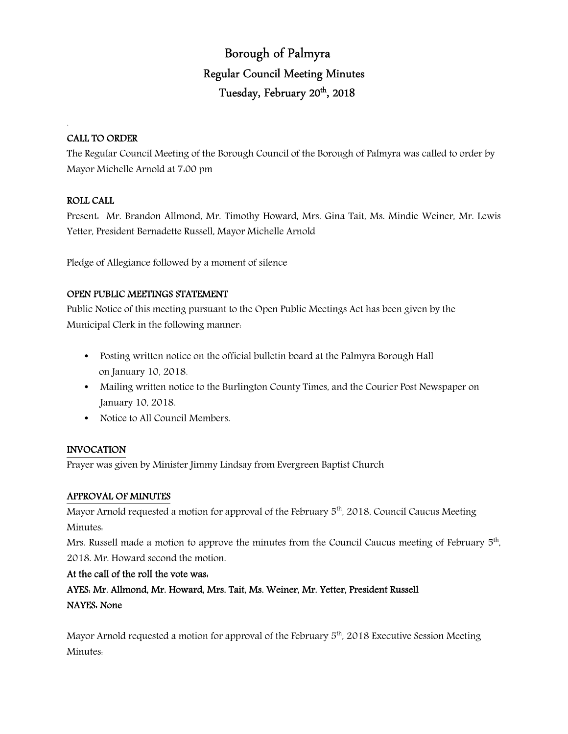# Borough of Palmyra Regular Council Meeting Minutes Tuesday, February 20<sup>th</sup>, 2018

## CALL TO ORDER

.

The Regular Council Meeting of the Borough Council of the Borough of Palmyra was called to order by Mayor Michelle Arnold at 7:00 pm

## ROLL CALL

Present: Mr. Brandon Allmond, Mr. Timothy Howard, Mrs. Gina Tait, Ms. Mindie Weiner, Mr. Lewis Yetter, President Bernadette Russell, Mayor Michelle Arnold

Pledge of Allegiance followed by a moment of silence

## OPEN PUBLIC MEETINGS STATEMENT

Public Notice of this meeting pursuant to the Open Public Meetings Act has been given by the Municipal Clerk in the following manner:

- Posting written notice on the official bulletin board at the Palmyra Borough Hall on January 10, 2018.
- Mailing written notice to the Burlington County Times, and the Courier Post Newspaper on January 10, 2018.
- Notice to All Council Members.

## INVOCATION

Prayer was given by Minister Jimmy Lindsay from Evergreen Baptist Church

## APPROVAL OF MINUTES

Mayor Arnold requested a motion for approval of the February  $5<sup>th</sup>$ , 2018, Council Caucus Meeting Minutes:

Mrs. Russell made a motion to approve the minutes from the Council Caucus meeting of February 5<sup>th</sup>, 2018. Mr. Howard second the motion.

## At the call of the roll the vote was:

AYES: Mr. Allmond, Mr. Howard, Mrs. Tait, Ms. Weiner, Mr. Yetter, President Russell NAYES: None

Mayor Arnold requested a motion for approval of the February  $5<sup>th</sup>$ , 2018 Executive Session Meeting Minutes: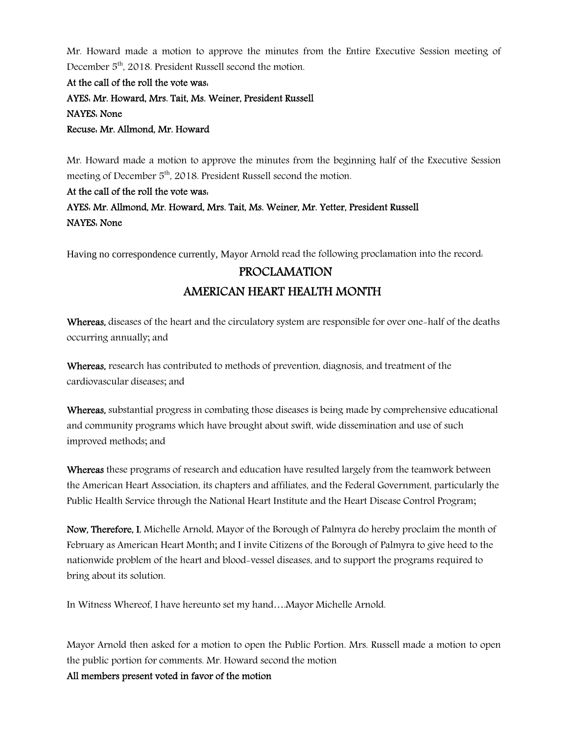Mr. Howard made a motion to approve the minutes from the Entire Executive Session meeting of December 5<sup>th</sup>, 2018. President Russell second the motion.

At the call of the roll the vote was: AYES: Mr. Howard, Mrs. Tait, Ms. Weiner, President Russell NAYES: None Recuse: Mr. Allmond, Mr. Howard

Mr. Howard made a motion to approve the minutes from the beginning half of the Executive Session meeting of December 5<sup>th</sup>, 2018. President Russell second the motion.

# At the call of the roll the vote was:

# AYES: Mr. Allmond, Mr. Howard, Mrs. Tait, Ms. Weiner, Mr. Yetter, President Russell NAYES: None

Having no correspondence currently, Mayor Arnold read the following proclamation into the record:

# PROCLAMATION AMERICAN HEART HEALTH MONTH

Whereas, diseases of the heart and the circulatory system are responsible for over one-half of the deaths occurring annually; and

Whereas, research has contributed to methods of prevention, diagnosis, and treatment of the cardiovascular diseases; and

Whereas, substantial progress in combating those diseases is being made by comprehensive educational and community programs which have brought about swift, wide dissemination and use of such improved methods; and

Whereas these programs of research and education have resulted largely from the teamwork between the American Heart Association, its chapters and affiliates, and the Federal Government, particularly the Public Health Service through the National Heart Institute and the Heart Disease Control Program;

Now, Therefore, I, Michelle Arnold, Mayor of the Borough of Palmyra do hereby proclaim the month of February as American Heart Month; and I invite Citizens of the Borough of Palmyra to give heed to the nationwide problem of the heart and blood-vessel diseases, and to support the programs required to bring about its solution.

In Witness Whereof, I have hereunto set my hand….Mayor Michelle Arnold.

Mayor Arnold then asked for a motion to open the Public Portion. Mrs. Russell made a motion to open the public portion for comments. Mr. Howard second the motion All members present voted in favor of the motion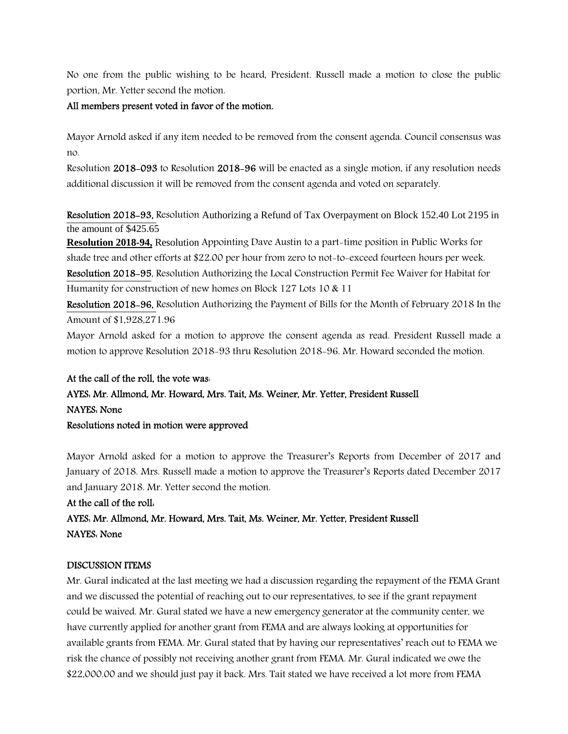No one from the public wishing to be heard, President. Russell made a motion to close the public portion, Mr. Yetter second the motion.

#### All members present voted in favor of the motion.

Mayor Arnold asked if any item needed to be removed from the consent agenda. Council consensus was no.

Resolution 2018-093 to Resolution 2018-96 will be enacted as a single motion, if any resolution needs additional discussion it will be removed from the consent agenda and voted on separately.

Resolution 2018-93, Resolution Authorizing a Refund of Tax Overpayment on Block 152.40 Lot 2195 in the amount of \$425.65

**Resolution 2018-94,** Resolution Appointing Dave Austin to a part-time position in Public Works for shade tree and other efforts at \$22.00 per hour from zero to not-to-exceed fourteen hours per week. Resolution 2018-95, Resolution Authorizing the Local Construction Permit Fee Waiver for Habitat for Humanity for construction of new homes on Block 127 Lots 10 & 11

Resolution 2018-96, Resolution Authorizing the Payment of Bills for the Month of February 2018 In the Amount of \$1,928,271.96

Mayor Arnold asked for a motion to approve the consent agenda as read. President Russell made a motion to approve Resolution 2018-93 thru Resolution 2018-96. Mr. Howard seconded the motion.

# At the call of the roll, the vote was:

# AYES: Mr. Allmond, Mr. Howard, Mrs. Tait, Ms. Weiner, Mr. Yetter, President Russell NAYES: None

Resolutions noted in motion were approved

Mayor Arnold asked for a motion to approve the Treasurer's Reports from December of 2017 and January of 2018. Mrs. Russell made a motion to approve the Treasurer's Reports dated December 2017 and January 2018. Mr. Yetter second the motion.

At the call of the roll: AYES: Mr. Allmond, Mr. Howard, Mrs. Tait, Ms. Weiner, Mr. Yetter, President Russell NAYES: None

#### DISCUSSION ITEMS

Mr. Gural indicated at the last meeting we had a discussion regarding the repayment of the FEMA Grant and we discussed the potential of reaching out to our representatives, to see if the grant repayment could be waived. Mr. Gural stated we have a new emergency generator at the community center, we have currently applied for another grant from FEMA and are always looking at opportunities for available grants from FEMA. Mr. Gural stated that by having our representatives' reach out to FEMA we risk the chance of possibly not receiving another grant from FEMA. Mr. Gural indicated we owe the \$22,000.00 and we should just pay it back. Mrs. Tait stated we have received a lot more from FEMA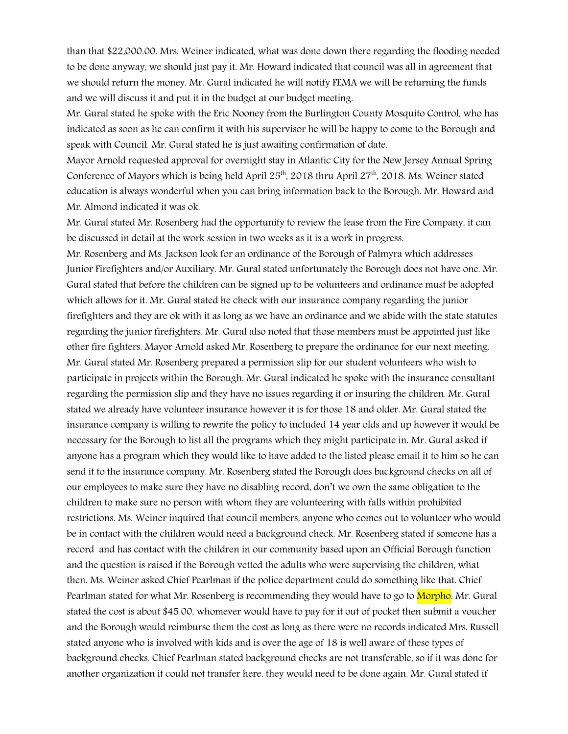than that \$22,000.00. Mrs. Weiner indicated, what was done down there regarding the flooding needed to be done anyway, we should just pay it. Mr. Howard indicated that council was all in agreement that we should return the money. Mr. Gural indicated he will notify FEMA we will be returning the funds and we will discuss it and put it in the budget at our budget meeting.

Mr. Gural stated he spoke with the Eric Nooney from the Burlington County Mosquito Control, who has indicated as soon as he can confirm it with his supervisor he will be happy to come to the Borough and speak with Council. Mr. Gural stated he is just awaiting confirmation of date.

Mayor Arnold requested approval for overnight stay in Atlantic City for the New Jersey Annual Spring Conference of Mayors which is being held April  $25<sup>th</sup>$ , 2018 thru April  $27<sup>th</sup>$ , 2018. Ms. Weiner stated education is always wonderful when you can bring information back to the Borough. Mr. Howard and Mr. Almond indicated it was ok.

Mr. Gural stated Mr. Rosenberg had the opportunity to review the lease from the Fire Company, it can be discussed in detail at the work session in two weeks as it is a work in progress.

Mr. Rosenberg and Ms. Jackson look for an ordinance of the Borough of Palmyra which addresses Junior Firefighters and/or Auxiliary. Mr. Gural stated unfortunately the Borough does not have one. Mr. Gural stated that before the children can be signed up to be volunteers and ordinance must be adopted which allows for it. Mr. Gural stated he check with our insurance company regarding the junior firefighters and they are ok with it as long as we have an ordinance and we abide with the state statutes regarding the junior firefighters. Mr. Gural also noted that those members must be appointed just like other fire fighters. Mayor Arnold asked Mr. Rosenberg to prepare the ordinance for our next meeting. Mr. Gural stated Mr. Rosenberg prepared a permission slip for our student volunteers who wish to participate in projects within the Borough. Mr. Gural indicated he spoke with the insurance consultant regarding the permission slip and they have no issues regarding it or insuring the children. Mr. Gural stated we already have volunteer insurance however it is for those 18 and older. Mr. Gural stated the insurance company is willing to rewrite the policy to included 14 year olds and up however it would be necessary for the Borough to list all the programs which they might participate in. Mr. Gural asked if anyone has a program which they would like to have added to the listed please email it to him so he can send it to the insurance company. Mr. Rosenberg stated the Borough does background checks on all of our employees to make sure they have no disabling record, don't we own the same obligation to the children to make sure no person with whom they are volunteering with falls within prohibited restrictions. Ms. Weiner inquired that council members, anyone who comes out to volunteer who would be in contact with the children would need a background check. Mr. Rosenberg stated if someone has a record and has contact with the children in our community based upon an Official Borough function and the question is raised if the Borough vetted the adults who were supervising the children, what then. Ms. Weiner asked Chief Pearlman if the police department could do something like that. Chief Pearlman stated for what Mr. Rosenberg is recommending they would have to go to Morpho. Mr. Gural stated the cost is about \$45.00, whomever would have to pay for it out of pocket then submit a voucher and the Borough would reimburse them the cost as long as there were no records indicated Mrs. Russell stated anyone who is involved with kids and is over the age of 18 is well aware of these types of background checks. Chief Pearlman stated background checks are not transferable, so if it was done for another organization it could not transfer here, they would need to be done again. Mr. Gural stated if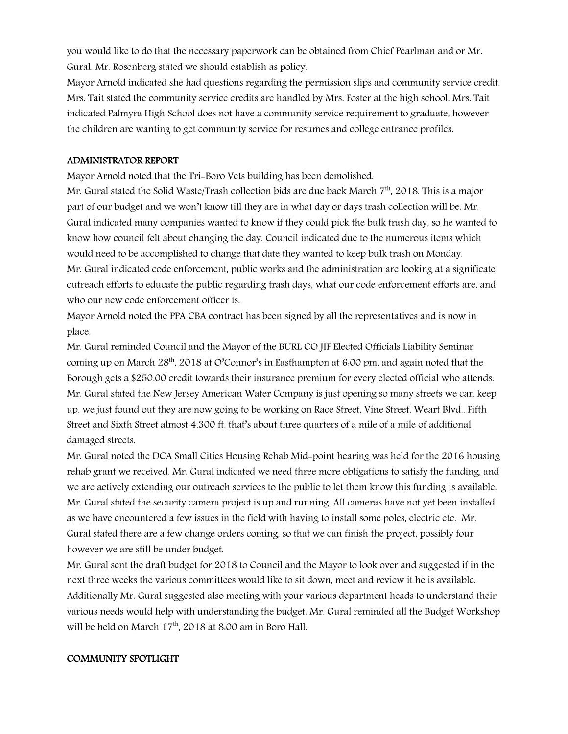you would like to do that the necessary paperwork can be obtained from Chief Pearlman and or Mr. Gural. Mr. Rosenberg stated we should establish as policy.

Mayor Arnold indicated she had questions regarding the permission slips and community service credit. Mrs. Tait stated the community service credits are handled by Mrs. Foster at the high school. Mrs. Tait indicated Palmyra High School does not have a community service requirement to graduate, however the children are wanting to get community service for resumes and college entrance profiles.

#### ADMINISTRATOR REPORT

Mayor Arnold noted that the Tri-Boro Vets building has been demolished.

Mr. Gural stated the Solid Waste/Trash collection bids are due back March  $7<sup>th</sup>$ , 2018. This is a major part of our budget and we won't know till they are in what day or days trash collection will be. Mr. Gural indicated many companies wanted to know if they could pick the bulk trash day, so he wanted to know how council felt about changing the day. Council indicated due to the numerous items which would need to be accomplished to change that date they wanted to keep bulk trash on Monday. Mr. Gural indicated code enforcement, public works and the administration are looking at a significate outreach efforts to educate the public regarding trash days, what our code enforcement efforts are, and who our new code enforcement officer is.

Mayor Arnold noted the PPA CBA contract has been signed by all the representatives and is now in place.

Mr. Gural reminded Council and the Mayor of the BURL CO JIF Elected Officials Liability Seminar coming up on March 28<sup>th</sup>, 2018 at O'Connor's in Easthampton at 6:00 pm, and again noted that the Borough gets a \$250.00 credit towards their insurance premium for every elected official who attends. Mr. Gural stated the New Jersey American Water Company is just opening so many streets we can keep up, we just found out they are now going to be working on Race Street, Vine Street, Weart Blvd., Fifth Street and Sixth Street almost 4,300 ft. that's about three quarters of a mile of a mile of additional damaged streets.

Mr. Gural noted the DCA Small Cities Housing Rehab Mid-point hearing was held for the 2016 housing rehab grant we received. Mr. Gural indicated we need three more obligations to satisfy the funding, and we are actively extending our outreach services to the public to let them know this funding is available. Mr. Gural stated the security camera project is up and running. All cameras have not yet been installed as we have encountered a few issues in the field with having to install some poles, electric etc. Mr. Gural stated there are a few change orders coming, so that we can finish the project, possibly four however we are still be under budget.

Mr. Gural sent the draft budget for 2018 to Council and the Mayor to look over and suggested if in the next three weeks the various committees would like to sit down, meet and review it he is available. Additionally Mr. Gural suggested also meeting with your various department heads to understand their various needs would help with understanding the budget. Mr. Gural reminded all the Budget Workshop will be held on March 17<sup>th</sup>, 2018 at 8:00 am in Boro Hall.

#### COMMUNITY SPOTLIGHT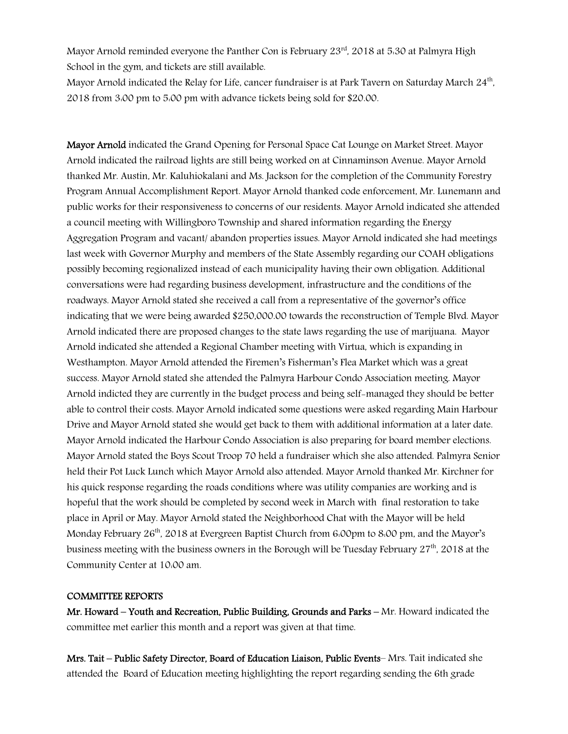Mayor Arnold reminded everyone the Panther Con is February  $23<sup>rd</sup>$ , 2018 at 5.30 at Palmyra High School in the gym, and tickets are still available.

Mayor Arnold indicated the Relay for Life, cancer fundraiser is at Park Tavern on Saturday March 24<sup>th</sup>, 2018 from 3:00 pm to 5:00 pm with advance tickets being sold for \$20.00.

Mayor Arnold indicated the Grand Opening for Personal Space Cat Lounge on Market Street. Mayor Arnold indicated the railroad lights are still being worked on at Cinnaminson Avenue. Mayor Arnold thanked Mr. Austin, Mr. Kaluhiokalani and Ms. Jackson for the completion of the Community Forestry Program Annual Accomplishment Report. Mayor Arnold thanked code enforcement, Mr. Lunemann and public works for their responsiveness to concerns of our residents. Mayor Arnold indicated she attended a council meeting with Willingboro Township and shared information regarding the Energy Aggregation Program and vacant/ abandon properties issues. Mayor Arnold indicated she had meetings last week with Governor Murphy and members of the State Assembly regarding our COAH obligations possibly becoming regionalized instead of each municipality having their own obligation. Additional conversations were had regarding business development, infrastructure and the conditions of the roadways. Mayor Arnold stated she received a call from a representative of the governor's office indicating that we were being awarded \$250,000.00 towards the reconstruction of Temple Blvd. Mayor Arnold indicated there are proposed changes to the state laws regarding the use of marijuana. Mayor Arnold indicated she attended a Regional Chamber meeting with Virtua, which is expanding in Westhampton. Mayor Arnold attended the Firemen's Fisherman's Flea Market which was a great success. Mayor Arnold stated she attended the Palmyra Harbour Condo Association meeting. Mayor Arnold indicted they are currently in the budget process and being self-managed they should be better able to control their costs. Mayor Arnold indicated some questions were asked regarding Main Harbour Drive and Mayor Arnold stated she would get back to them with additional information at a later date. Mayor Arnold indicated the Harbour Condo Association is also preparing for board member elections. Mayor Arnold stated the Boys Scout Troop 70 held a fundraiser which she also attended. Palmyra Senior held their Pot Luck Lunch which Mayor Arnold also attended. Mayor Arnold thanked Mr. Kirchner for his quick response regarding the roads conditions where was utility companies are working and is hopeful that the work should be completed by second week in March with final restoration to take place in April or May. Mayor Arnold stated the Neighborhood Chat with the Mayor will be held Monday February  $26<sup>th</sup>$ , 2018 at Evergreen Baptist Church from 6.00pm to 8.00 pm, and the Mayor's business meeting with the business owners in the Borough will be Tuesday February 27th, 2018 at the Community Center at 10:00 am.

## COMMITTEE REPORTS

Mr. Howard – Youth and Recreation, Public Building, Grounds and Parks – Mr. Howard indicated the committee met earlier this month and a report was given at that time.

Mrs. Tait – Public Safety Director, Board of Education Liaison, Public Events– Mrs. Tait indicated she attended the Board of Education meeting highlighting the report regarding sending the 6th grade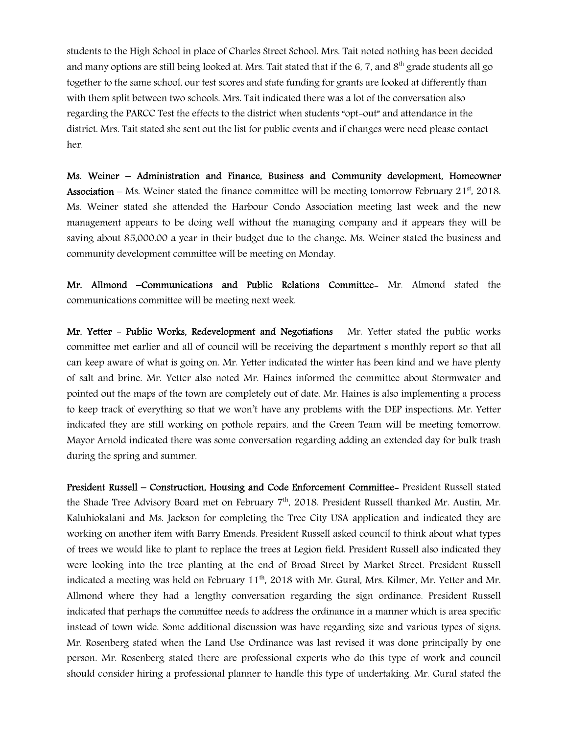students to the High School in place of Charles Street School. Mrs. Tait noted nothing has been decided and many options are still being looked at. Mrs. Tait stated that if the 6, 7, and  $8<sup>th</sup>$  grade students all go together to the same school, our test scores and state funding for grants are looked at differently than with them split between two schools. Mrs. Tait indicated there was a lot of the conversation also regarding the PARCC Test the effects to the district when students "opt-out" and attendance in the district. Mrs. Tait stated she sent out the list for public events and if changes were need please contact her.

Ms. Weiner – Administration and Finance, Business and Community development, Homeowner **Association** – Ms. Weiner stated the finance committee will be meeting tomorrow February 21<sup>st</sup>, 2018. Ms. Weiner stated she attended the Harbour Condo Association meeting last week and the new management appears to be doing well without the managing company and it appears they will be saving about 85,000.00 a year in their budget due to the change. Ms. Weiner stated the business and community development committee will be meeting on Monday.

Mr. Allmond –Communications and Public Relations Committee- Mr. Almond stated the communications committee will be meeting next week.

Mr. Yetter - Public Works, Redevelopment and Negotiations - Mr. Yetter stated the public works committee met earlier and all of council will be receiving the department s monthly report so that all can keep aware of what is going on. Mr. Yetter indicated the winter has been kind and we have plenty of salt and brine. Mr. Yetter also noted Mr. Haines informed the committee about Stormwater and pointed out the maps of the town are completely out of date. Mr. Haines is also implementing a process to keep track of everything so that we won't have any problems with the DEP inspections. Mr. Yetter indicated they are still working on pothole repairs, and the Green Team will be meeting tomorrow. Mayor Arnold indicated there was some conversation regarding adding an extended day for bulk trash during the spring and summer.

President Russell – Construction, Housing and Code Enforcement Committee- President Russell stated the Shade Tree Advisory Board met on February  $7<sup>th</sup>$ , 2018. President Russell thanked Mr. Austin, Mr. Kaluhiokalani and Ms. Jackson for completing the Tree City USA application and indicated they are working on another item with Barry Emends. President Russell asked council to think about what types of trees we would like to plant to replace the trees at Legion field. President Russell also indicated they were looking into the tree planting at the end of Broad Street by Market Street. President Russell indicated a meeting was held on February 11<sup>th</sup>, 2018 with Mr. Gural, Mrs. Kilmer, Mr. Yetter and Mr. Allmond where they had a lengthy conversation regarding the sign ordinance. President Russell indicated that perhaps the committee needs to address the ordinance in a manner which is area specific instead of town wide. Some additional discussion was have regarding size and various types of signs. Mr. Rosenberg stated when the Land Use Ordinance was last revised it was done principally by one person. Mr. Rosenberg stated there are professional experts who do this type of work and council should consider hiring a professional planner to handle this type of undertaking. Mr. Gural stated the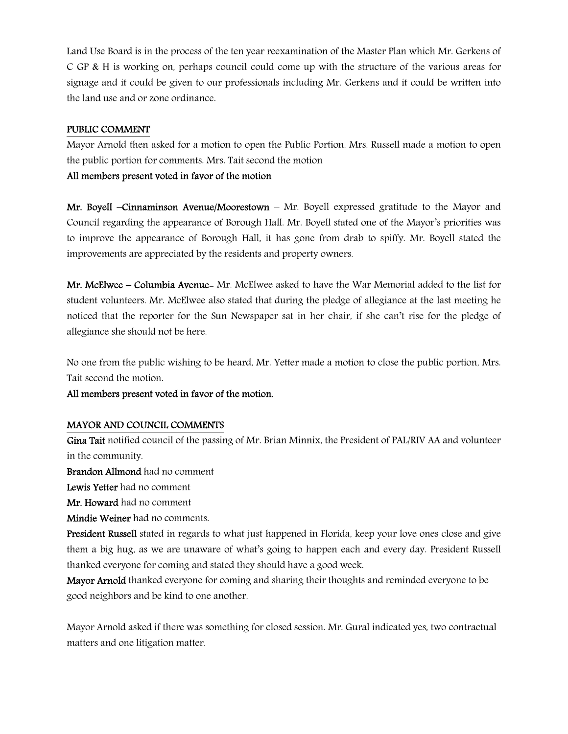Land Use Board is in the process of the ten year reexamination of the Master Plan which Mr. Gerkens of C GP & H is working on, perhaps council could come up with the structure of the various areas for signage and it could be given to our professionals including Mr. Gerkens and it could be written into the land use and or zone ordinance.

## PUBLIC COMMENT

Mayor Arnold then asked for a motion to open the Public Portion. Mrs. Russell made a motion to open the public portion for comments. Mrs. Tait second the motion

## All members present voted in favor of the motion

Mr. Boyell –Cinnaminson Avenue/Moorestown – Mr. Boyell expressed gratitude to the Mayor and Council regarding the appearance of Borough Hall. Mr. Boyell stated one of the Mayor's priorities was to improve the appearance of Borough Hall, it has gone from drab to spiffy. Mr. Boyell stated the improvements are appreciated by the residents and property owners.

Mr. McElwee – Columbia Avenue- Mr. McElwee asked to have the War Memorial added to the list for student volunteers. Mr. McElwee also stated that during the pledge of allegiance at the last meeting he noticed that the reporter for the Sun Newspaper sat in her chair, if she can't rise for the pledge of allegiance she should not be here.

No one from the public wishing to be heard, Mr. Yetter made a motion to close the public portion, Mrs. Tait second the motion.

## All members present voted in favor of the motion.

## MAYOR AND COUNCIL COMMENTS

Gina Tait notified council of the passing of Mr. Brian Minnix, the President of PAL/RIV AA and volunteer in the community.

Brandon Allmond had no comment

Lewis Yetter had no comment

Mr. Howard had no comment

Mindie Weiner had no comments.

President Russell stated in regards to what just happened in Florida, keep your love ones close and give them a big hug, as we are unaware of what's going to happen each and every day. President Russell thanked everyone for coming and stated they should have a good week.

Mayor Arnold thanked everyone for coming and sharing their thoughts and reminded everyone to be good neighbors and be kind to one another.

Mayor Arnold asked if there was something for closed session. Mr. Gural indicated yes, two contractual matters and one litigation matter.